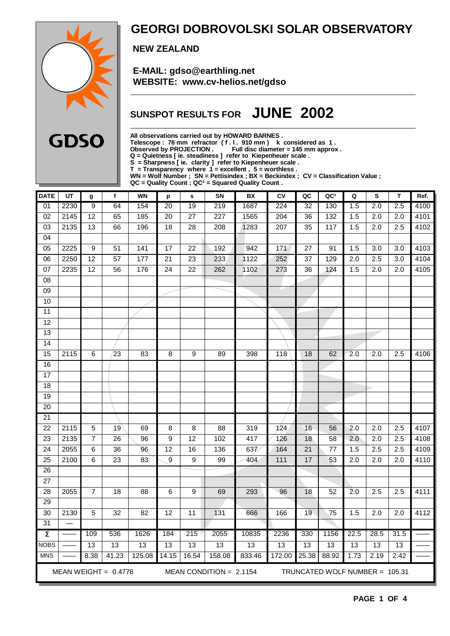

## **GEORGI DOBROVOLSKI SOLAR OBSERVATORY**

 **NEW ZEALAND**

 **E-MAIL: gdso@earthling.net WEBSITE: www.cv-helios.net/gdso**

## **SUNSPOT RESULTS FOR JUNE 2002**

**All observations carried out by HOWARD BARNES .**

**Telescope : 76 mm refractor ( f . l . 910 mm ) k considered as 1 .**

**Observed by PROJECTION . Full disc diameter = 145 mm approx .**

**Q = Quietness [ ie. steadiness ] refer to Kiepenheuer scale .**

**S = Sharpness [ ie. clarity ] refer to Kiepenheuer scale .**

**T = Transparency where 1 = excellent , 5 = worthless .**

**WN = Wolf Number ; SN = Pettisindex ; BX = Beckindex ; CV = Classification Value ;**

**QC = Quality Count ; QC² = Squared Quality Count .**

| <b>DATE</b>     | UT                                                                                    | g               | $\mathsf f$     | <b>WN</b>       | p               | s               | SN              | BX     | c <sub>V</sub>   | QC              | QC <sup>2</sup> | Q                | S                | T                | Ref. |
|-----------------|---------------------------------------------------------------------------------------|-----------------|-----------------|-----------------|-----------------|-----------------|-----------------|--------|------------------|-----------------|-----------------|------------------|------------------|------------------|------|
| 01              | 2230                                                                                  | 9               | 64              | 154             | $\overline{20}$ | 19              | 219             | 1687   | 224              | 32              | 130             | 1.5              | 2.0              | 2.5              | 4100 |
| 02              | 2145                                                                                  | 12              | 65              | 185             | 20              | $\overline{27}$ | 227             | 1565   | 204              | 36              | 132             | 1.5              | 2.0              | 2.0              | 4101 |
| 03              | 2135                                                                                  | 13              | 66              | 196             | $\overline{18}$ | $\overline{28}$ | 208             | 1283   | 207              | 35              | 117             | 1.5              | 2.0              | 2.5              | 4102 |
| 04              |                                                                                       |                 |                 |                 |                 |                 |                 |        |                  |                 |                 |                  |                  |                  |      |
| $\overline{05}$ | 2225                                                                                  | $\overline{9}$  | $\overline{51}$ | 141             | $\overline{17}$ | $\overline{22}$ | 192             | 942    | 171              | $\overline{27}$ | $\overline{91}$ | 1.5              | $\overline{3.0}$ | $\overline{3.0}$ | 4103 |
| 06              | 2250                                                                                  | $\overline{12}$ | 57              | 177             | 21              | $\overline{23}$ | 233             | 1122   | 252              | $\overline{37}$ | 129             | $\overline{2.0}$ | 2.5              | 3.0              | 4104 |
| 07              | 2235                                                                                  | 12              | 56              | 176             | 24              | 22              | 262             | 1102   | 273              | 36              | 124             | 1.5              | 2.0              | 2.0              | 4105 |
| 08              |                                                                                       |                 |                 |                 |                 |                 |                 |        |                  |                 |                 |                  |                  |                  |      |
| 09              |                                                                                       |                 |                 |                 |                 |                 |                 |        |                  |                 |                 |                  |                  |                  |      |
| 10              |                                                                                       |                 |                 |                 |                 |                 |                 |        |                  |                 |                 |                  |                  |                  |      |
| $\overline{11}$ |                                                                                       |                 |                 |                 |                 |                 |                 |        |                  |                 |                 |                  |                  |                  |      |
| 12              |                                                                                       |                 |                 |                 |                 |                 |                 |        |                  |                 |                 |                  |                  |                  |      |
| 13              |                                                                                       |                 |                 |                 |                 |                 |                 |        |                  |                 |                 |                  |                  |                  |      |
| 14              |                                                                                       |                 |                 |                 |                 |                 |                 |        |                  |                 |                 |                  |                  |                  |      |
| 15              | 2115                                                                                  | 6               | 23              | 83              | 8               | 9               | 89              | 398    | 118              | 18              | 62              | 2.0              | 2.0              | 2.5              | 4106 |
| 16              |                                                                                       |                 |                 |                 |                 |                 |                 |        |                  |                 |                 |                  |                  |                  |      |
| $\overline{17}$ |                                                                                       |                 |                 |                 |                 |                 |                 |        |                  |                 |                 |                  |                  |                  |      |
| 18              |                                                                                       |                 |                 |                 |                 |                 |                 |        |                  |                 |                 |                  |                  |                  |      |
| 19              |                                                                                       |                 |                 |                 |                 |                 |                 |        |                  |                 |                 |                  |                  |                  |      |
| $\overline{20}$ |                                                                                       |                 |                 |                 |                 |                 |                 |        |                  |                 |                 |                  |                  |                  |      |
| $\overline{21}$ |                                                                                       |                 |                 |                 |                 |                 |                 |        |                  |                 |                 |                  |                  |                  |      |
| $\overline{22}$ | 2115                                                                                  | $\overline{5}$  | 19              | 69              | 8               | 8               | $\overline{88}$ | 319    | 124              | $\overline{16}$ | 56              | 2.0              | $\overline{2.0}$ | 2.5              | 4107 |
| $\overline{23}$ | 2135                                                                                  | $\overline{7}$  | 26              | 96              | 9               | $\overline{12}$ | 102             | 417    | 126              | 18              | 58              | 2.0              | $\overline{2.0}$ | 2.5              | 4108 |
| $\overline{24}$ | 2055                                                                                  | 6               | $\overline{36}$ | 96              | $\overline{12}$ | 16              | 136             | 637    | 164              | $\overline{21}$ | $\overline{77}$ | 1.5              | 2.5              | 2.5              | 4109 |
| $\overline{25}$ | 2100                                                                                  | 6               | $\overline{23}$ | 83              | 9               | $\overline{9}$  | 99              | 404    | $\overline{111}$ | 17              | 53              | 2.0              | 2.0              | 2.0              | 4110 |
| $\overline{26}$ |                                                                                       |                 |                 |                 |                 |                 |                 |        |                  |                 |                 |                  |                  |                  |      |
| $\overline{27}$ |                                                                                       |                 |                 |                 |                 |                 |                 |        |                  |                 |                 |                  |                  |                  |      |
| $\overline{28}$ | 2055                                                                                  | $\overline{7}$  | $\overline{18}$ | $\overline{88}$ | 6               | $\overline{9}$  | 69              | 293    | 96               | 18              | 52              | 2.0              | 2.5              | 2.5              | 4111 |
| 29              |                                                                                       |                 |                 |                 |                 |                 |                 |        |                  |                 |                 |                  |                  |                  |      |
| 30              | 2130                                                                                  | $\overline{5}$  | $\overline{32}$ | 82              | 12              | $\overline{11}$ | 131             | 666    | 166              | 19              | $\overline{75}$ | 1.5              | 2.0              | 2.0              | 4112 |
| 31              |                                                                                       |                 |                 |                 |                 |                 |                 |        |                  |                 |                 |                  |                  |                  |      |
| $\Sigma$        |                                                                                       | 109             | 536             | 1626            | 184             | 215             | 2055            | 10835  | 2236             | 330             | 1156            | 22.5             | 28.5             | 31.5             |      |
| <b>NOBS</b>     |                                                                                       | 13              | 13              | 13              | 13              | 13              | 13              | 13     | 13               | 13              | 13              | 13               | 13               | 13               |      |
| <b>MNS</b>      |                                                                                       | 8.38            | 41.23           | 125.08          | 14.15           | 16.54           | 158.08          | 833.46 | 172.00           | 25.38           | 88.92           | 1.73             | 2.19             | 2.42             |      |
|                 | MEAN WEIGHT = $0.4778$<br>MEAN CONDITION = $2.1154$<br>TRUNCATED WOLF NUMBER = 105.31 |                 |                 |                 |                 |                 |                 |        |                  |                 |                 |                  |                  |                  |      |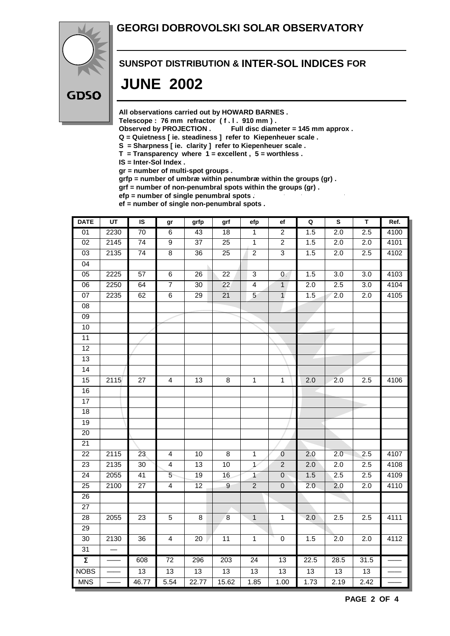#### **GEORGI DOBROVOLSKI SOLAR OBSERVATORY**



#### **SUNSPOT DISTRIBUTION & INTER-SOL INDICES FOR**

## **JUNE 2002**

**All observations carried out by HOWARD BARNES .**

Telescope : 76 mm refractor (f. l. 910 mm).<br>Observed by PROJECTION . Full disc diam

Full disc diameter = 145 mm approx .

- **Q = Quietness [ ie. steadiness ] refer to Kiepenheuer scale .**
- **S = Sharpness [ ie. clarity ] refer to Kiepenheuer scale .**
- **T = Transparency where 1 = excellent , 5 = worthless .**
- **IS = Inter-Sol Index .**

**gr = number of multi-spot groups .**

**grfp = number of umbræ within penumbræ within the groups (gr) .**

**grf = number of non-penumbral spots within the groups (gr) .**

**efp = number of single penumbral spots . ef = number of single non-penumbral spots .**

| <b>DATE</b>         | $\overline{UT}$ | $\overline{\mathsf{s}}$ | gr                      | grfp            | grf              | efp             | ef               | Q                | $\overline{\mathbf{s}}$ | $\overline{\mathsf{T}}$ | Ref. |
|---------------------|-----------------|-------------------------|-------------------------|-----------------|------------------|-----------------|------------------|------------------|-------------------------|-------------------------|------|
| 01                  | 2230            | $\overline{70}$         | $\overline{6}$          | 43              | 18               | $\overline{1}$  | $\overline{2}$   | 1.5              | 2.0                     | 2.5                     | 4100 |
| 02                  | 2145            | $\overline{74}$         | $\overline{9}$          | $\overline{37}$ | $\overline{25}$  | $\overline{1}$  | $\overline{2}$   | 1.5              | $\overline{2.0}$        | $\overline{2.0}$        | 4101 |
| $\overline{03}$     | 2135            | $\overline{74}$         | $\overline{8}$          | $\overline{36}$ | $\overline{25}$  | $\overline{2}$  | 3                | 1.5              | 2.0                     | 2.5                     | 4102 |
| $\overline{04}$     |                 |                         |                         |                 |                  |                 |                  |                  |                         |                         |      |
| $\overline{05}$     | 2225            | $\overline{57}$         | $\overline{6}$          | $\overline{26}$ | $\overline{22}$  | $\overline{3}$  | 0 <sup>1</sup>   | 1.5              | 3.0                     | $\overline{3.0}$        | 4103 |
| 06                  | 2250            | 64                      | $\overline{7}$          | $\overline{30}$ | $\overline{22}$  | $\overline{4}$  | 1                | 2.0              | 2.5                     | $\overline{3.0}$        | 4104 |
| $\overline{07}$     | 2235            | 62                      | $\overline{6}$          | $\overline{29}$ | $\overline{21}$  | $\overline{5}$  | 1/               | 1.5              | 2.0                     | 2.0                     | 4105 |
| $\overline{08}$     |                 |                         |                         |                 |                  |                 |                  |                  |                         |                         |      |
| 09                  |                 |                         |                         |                 |                  |                 |                  |                  |                         |                         |      |
| 10                  |                 |                         |                         |                 |                  |                 |                  |                  |                         |                         |      |
| 11                  |                 |                         |                         |                 |                  |                 |                  |                  |                         |                         |      |
| 12                  |                 |                         |                         |                 |                  |                 |                  |                  |                         |                         |      |
| 13                  |                 |                         |                         |                 |                  |                 |                  |                  |                         |                         |      |
| $\overline{14}$     |                 |                         |                         |                 |                  |                 |                  |                  |                         |                         |      |
| 15                  | 2115            | $\overline{27}$         | $\overline{4}$          | $\overline{13}$ | $\overline{8}$   | $\overline{1}$  | $\overline{1}$   | 2.0              | 2.0                     | $\overline{2.5}$        | 4106 |
| 16                  |                 |                         |                         |                 |                  |                 |                  |                  |                         |                         |      |
| $\overline{17}$     |                 |                         |                         |                 |                  |                 |                  |                  |                         |                         |      |
| $\overline{18}$     |                 |                         |                         |                 |                  |                 |                  |                  |                         |                         |      |
| 19                  |                 |                         |                         |                 |                  |                 |                  |                  |                         |                         |      |
| $\overline{20}$     |                 |                         |                         |                 |                  |                 |                  |                  |                         |                         |      |
| $\overline{21}$     |                 |                         |                         |                 |                  |                 |                  |                  |                         |                         |      |
| 22                  | 2115            | 23                      | 4                       | 10              | $\bf 8$          | $\mathbf{1}$    | $\boldsymbol{0}$ | 2.0              | 2.0                     | 2.5                     | 4107 |
| 23                  | 2135            | 30                      | $\overline{\mathbf{4}}$ | 13              | 10               | $\overline{1}$  | $\overline{c}$   | 2.0              | 2.0                     | 2.5                     | 4108 |
| $\overline{24}$     | 2055            | $\overline{41}$         | 5                       | 19              | 16               | $\overline{1}$  | $\mathsf 0$      | 1.5              | 2.5                     | 2.5                     | 4109 |
| $\overline{25}$     | 2100            | $\overline{27}$         | $\overline{4}$          | 12              | $\overline{9}$   | $\overline{2}$  | $\mathbf 0$      | $\overline{2.0}$ | 2.0                     | 2.0                     | 4110 |
| $\overline{26}$     |                 |                         |                         |                 |                  |                 |                  |                  |                         |                         |      |
| $\overline{27}$     |                 |                         |                         |                 |                  |                 |                  |                  |                         |                         |      |
| $\overline{28}$     | 2055            | 23                      | $\overline{5}$          | 8               | $\boldsymbol{8}$ | $\mathbf{1}$    | $\mathbf{1}$     | 2.0              | 2.5                     | 2.5                     | 4111 |
| 29                  |                 |                         |                         |                 |                  |                 |                  |                  |                         |                         |      |
| 30                  | 2130            | 36                      | $\overline{4}$          | 20              | 11               | $\overline{1}$  | $\pmb{0}$        | 1.5              | 2.0                     | 2.0                     | 4112 |
| 31                  |                 |                         |                         |                 |                  |                 |                  |                  |                         |                         |      |
| $\overline{\Sigma}$ |                 | 608                     | $\overline{72}$         | 296             | 203              | 24              | 13               | 22.5             | 28.5                    | 31.5                    |      |
| <b>NOBS</b>         |                 | $\overline{13}$         | $\overline{13}$         | $\overline{13}$ | $\overline{13}$  | $\overline{13}$ | $\overline{13}$  | 13               | $\overline{13}$         | $\overline{13}$         |      |
| <b>MNS</b>          |                 | 46.77                   | 5.54                    | 22.77           | 15.62            | 1.85            | 1.00             | 1.73             | 2.19                    | 2.42                    |      |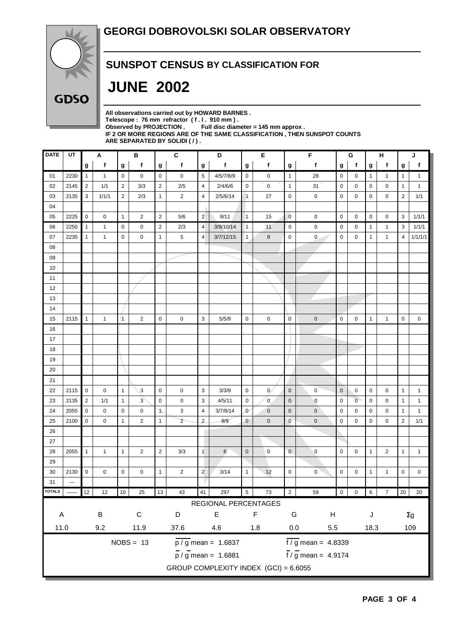

#### **SUNSPOT CENSUS BY CLASSIFICATION FOR**

## **JUNE 2002**

**All observations carried out by HOWARD BARNES .** Telescope : 76 mm refractor (f. l. 910 mm).<br>Observed by PROJECTION . Full disc diam Full disc diameter = 145 mm approx . **IF 2 OR MORE REGIONS ARE OF THE SAME CLASSIFICATION , THEN SUNSPOT COUNTS ARE SEPARATED BY SOLIDI ( / ) .**

| <b>DATE</b>                                              | UT                                    |                | A            |                | В              |                     | $\mathbf{C}$        |                    | D                                |                 | Е              |                | $\overline{F}$             |                | G              |              | H              |                | J            |  |
|----------------------------------------------------------|---------------------------------------|----------------|--------------|----------------|----------------|---------------------|---------------------|--------------------|----------------------------------|-----------------|----------------|----------------|----------------------------|----------------|----------------|--------------|----------------|----------------|--------------|--|
|                                                          |                                       | g              | f            | g              | f              | g                   | f                   | g                  | f                                | g               | f              | g              | f                          | g              | f              | g            | f              | g              | $\mathbf f$  |  |
| 01                                                       | 2230                                  | $\mathbf{1}$   | $\mathbf{1}$ | $\mathbf 0$    | 0              | $\mathbf 0$         | $\mathbf 0$         | 5                  | 4/5/7/8/9                        | 0               | $\pmb{0}$      | $\overline{1}$ | 28                         | 0              | $\mathbf 0$    | $\mathbf{1}$ | $\mathbf{1}$   | $\mathbf{1}$   | $\mathbf{1}$ |  |
| 02                                                       | 2145                                  | 2              | 1/1          | $\overline{2}$ | 3/3            | $\overline{2}$      | 2/5                 | $\overline{4}$     | 2/4/6/6                          | 0               | $\mathbf 0$    | $\overline{1}$ | 31                         | $\mathbf 0$    | 0              | 0            | 0              | $\mathbf{1}$   | $\mathbf{1}$ |  |
| 03                                                       | 2135                                  | 3              | 1/1/1        | $\overline{2}$ | 2/3            | $\mathbf{1}$        | $\overline{2}$      | 4                  | 2/5/6/14                         | $\mathbf{1}$    | 27             | $\mathbf 0$    | 0                          | $\mathbf 0$    | 0              | 0            | 0              | $\overline{2}$ | 1/1          |  |
| 04                                                       |                                       |                |              |                |                |                     |                     |                    |                                  |                 |                |                |                            |                |                |              |                |                |              |  |
| 05                                                       | 2225                                  | $\mathbf 0$    | 0            | $\mathbf{1}$   | $\overline{2}$ | $\overline{2}$      | 5/6                 | $\overline{2}$     | 9/11                             | $\vert$ 1       | 15             | $\mathbf 0$    | $\mathbf 0$                | 0              | 0              | 0            | 0              | 3              | 1/1/1        |  |
| 06                                                       | 2250                                  | $\overline{1}$ | $\mathbf{1}$ | $\mathbf 0$    | 0              | 2                   | 2/3                 | $\overline{4}$     | 3/9/10/14                        | $\overline{1}$  | 11             | $\mathbf 0$    | $\mathbf 0$                | $\pmb{0}$      | 0              | $\mathbf{1}$ | $\mathbf{1}$   | 3              | 1/1/1        |  |
| 07                                                       | 2235                                  | $\mathbf{1}$   | 1            | 0              | 0              | $\mathbf{1}$        | 5                   | $\overline{4}$     | 3/7/12/15                        | $\mathbf{1}$    | 8              | $\mathbf 0$    | $\mathbf 0$                | 0              | 0              | 1            | $\mathbf{1}$   | $\overline{4}$ | 1/1/1/1      |  |
| 08                                                       |                                       |                |              |                |                |                     |                     |                    |                                  |                 |                |                |                            |                |                |              |                |                |              |  |
| 09                                                       |                                       |                |              |                |                |                     |                     |                    |                                  |                 |                |                |                            |                |                |              |                |                |              |  |
| 10                                                       |                                       |                |              |                |                |                     |                     |                    |                                  |                 |                |                |                            |                |                |              |                |                |              |  |
| 11                                                       |                                       |                |              |                |                |                     |                     |                    |                                  |                 |                |                |                            |                |                |              |                |                |              |  |
| 12                                                       |                                       |                |              |                |                |                     |                     |                    |                                  |                 |                |                |                            |                |                |              |                |                |              |  |
| 13                                                       |                                       |                |              |                |                |                     |                     |                    |                                  |                 |                |                |                            |                |                |              |                |                |              |  |
| 14                                                       |                                       |                |              |                |                |                     |                     |                    |                                  |                 |                |                |                            |                |                |              |                |                |              |  |
| 15                                                       | 2115                                  | $\mathbf{1}$   | $\mathbf{1}$ | $\vert$ 1      | $\overline{2}$ | $\mathsf{O}\xspace$ | $\mathsf{O}\xspace$ | $\mathbf{3}$       | 5/5/9                            | $\mathbf 0$     | 0              | $\overline{0}$ | $\pmb{0}$                  | $\mathbf 0$    | 0              | $\mathbf{1}$ | $\mathbf{1}$   | 0              | 0            |  |
| 16                                                       |                                       |                |              |                |                |                     |                     |                    |                                  |                 |                |                |                            |                |                |              |                |                |              |  |
| 17                                                       |                                       |                |              |                |                |                     |                     |                    |                                  |                 |                |                |                            |                |                |              |                |                |              |  |
| 18                                                       |                                       |                |              |                |                |                     |                     |                    |                                  |                 |                |                |                            |                |                |              |                |                |              |  |
| 19                                                       |                                       |                |              |                |                |                     |                     |                    |                                  |                 |                |                |                            |                |                |              |                |                |              |  |
| 20                                                       |                                       |                |              |                |                |                     |                     |                    |                                  |                 |                |                |                            |                |                |              |                |                |              |  |
| 21                                                       |                                       |                |              |                |                |                     |                     |                    |                                  |                 |                |                |                            |                |                |              |                |                |              |  |
| 22                                                       | 2115                                  | $\mathbf 0$    | 0            | $\mathbf{1}$   | 3              | $\mathbf 0$         | $\mathbf 0$         | 3                  | 3/3/9                            | $\mathbf 0$     | $\overline{0}$ | $\mathbf 0$    | $\pmb{0}$                  | $\mathbf 0$    | 0              | 0            | 0              | $\mathbf{1}$   | $\mathbf{1}$ |  |
| 23                                                       | 2135                                  | $\overline{2}$ | 1/1          | $\mathbf{1}$   | 3              | $\mathbf 0$         | 0                   | 3                  | 4/5/11                           | $\mathbf 0$     | $\overline{0}$ | $\mathbf 0$    | $\mathbf 0$                | $\mathbf 0$    | $\overline{0}$ | 0            | 0              | $\mathbf{1}$   | $\mathbf{1}$ |  |
| 24                                                       | 2055                                  | $\mathbf 0$    | 0            | $\mathbf 0$    | $\mathbf 0$    | $\mathbf{1}$        | 3                   | $\overline{4}$     | 3/7/8/14                         | $\mathbf{0}$    | $\pmb{0}$      | $\mathbf 0$    | $\pmb{0}$                  | $\mathbf 0$    | 0              | 0            | 0              | $\mathbf{1}$   | $\mathbf{1}$ |  |
| 25                                                       | 2100                                  | $\mathbf 0$    | 0            | $\mathbf{1}$   | $\overline{2}$ | $\mathbf{1}$        | $\overline{2}$      | $\overline{2}$     | 8/9                              | $\mathbf{0}$    | $\mathbf 0$    | $\overline{0}$ | $\mathbf 0$                | $\mathbf 0$    | 0              | 0            | 0              | $\overline{2}$ | 1/1          |  |
| 26                                                       |                                       |                |              |                |                |                     |                     |                    |                                  |                 |                |                |                            |                |                |              |                |                |              |  |
| 27                                                       |                                       |                |              |                |                |                     |                     |                    |                                  |                 |                |                |                            |                |                |              |                |                |              |  |
| 28                                                       | 2055                                  | $\mathbf{1}$   | $\mathbf{1}$ | $\mathbf{1}$   | $\overline{c}$ | $\overline{2}$      | 3/3                 | $\mathbf{1}$       | 6                                | $\mathbf 0$     | $\pmb{0}$      | $\mathbf{0}$   | $\pmb{0}$                  | $\mathsf 0$    | 0              | $\mathbf{1}$ | $\overline{2}$ | $\mathbf{1}$   | $\mathbf{1}$ |  |
| 29                                                       |                                       |                |              |                |                |                     |                     |                    |                                  |                 |                |                |                            |                |                |              |                |                |              |  |
| 30                                                       | 2130                                  | $\mathbf 0$    | 0            | $\pmb{0}$      | 0              | $\mathbf{1}$        | $\overline{2}$      | $\overline{c}$     | 3/14                             | $\mathbf{1}$    | 12             | $\pmb{0}$      | $\pmb{0}$                  | $\mathbf 0$    | 0              | $\mathbf{1}$ | $\mathbf{1}$   | $\pmb{0}$      | 0            |  |
| 31                                                       | $\overline{\phantom{0}}$              |                |              |                |                |                     |                     |                    |                                  |                 |                |                |                            |                |                |              |                |                |              |  |
| <b>TOTALS</b>                                            |                                       | 12             | 12           | 10             | 25             | 13                  | 43                  | 41                 | 297                              | $5\overline{)}$ | 73             | $\overline{2}$ | 59                         | $\overline{0}$ | $0 \quad 6$    |              | $\overline{7}$ |                | 20 20        |  |
|                                                          |                                       |                |              |                |                |                     |                     |                    | REGIONAL PERCENTAGES             |                 |                |                |                            |                |                |              |                |                |              |  |
| $\mathsf{A}$                                             |                                       |                | $\sf B$      |                | ${\bf C}$      |                     | D                   |                    | E                                |                 | F              | ${\mathsf G}$  | H                          |                |                | J            |                |                | $\Sigma g$   |  |
| 11.9<br>11.0<br>9.2                                      |                                       |                | 37.6         | 4.6<br>1.8     |                |                     |                     | $0.0\,$<br>$5.5\,$ |                                  |                 |                | 18.3           |                            |                | 109            |              |                |                |              |  |
|                                                          |                                       |                |              |                | $NOBS = 13$    |                     |                     |                    | $\overline{p / g}$ mean = 1.6837 |                 |                |                | $\sqrt{f/g}$ mean = 4.8339 |                |                |              |                |                |              |  |
|                                                          |                                       |                |              |                |                |                     |                     |                    |                                  |                 |                |                |                            |                |                |              |                |                |              |  |
| $\frac{1}{p}$ / g mean = 1.6881<br>$f / g$ mean = 4.9174 |                                       |                |              |                |                |                     |                     |                    |                                  |                 |                |                |                            |                |                |              |                |                |              |  |
|                                                          | GROUP COMPLEXITY INDEX (GCI) = 6.6055 |                |              |                |                |                     |                     |                    |                                  |                 |                |                |                            |                |                |              |                |                |              |  |